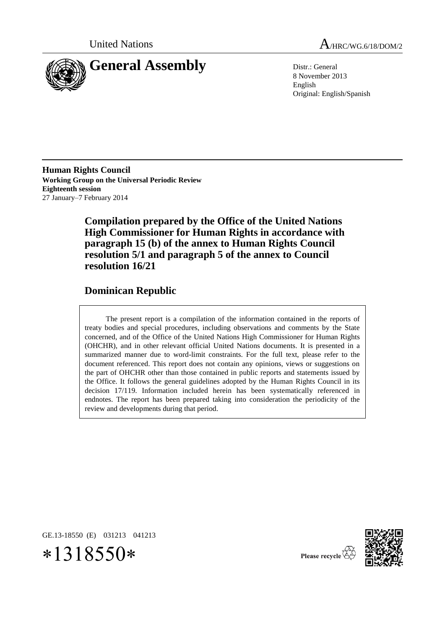

United Nations  $A_{HRC/WG.6/18/DOM/2}$ 

8 November 2013 English Original: English/Spanish

**Human Rights Council Working Group on the Universal Periodic Review Eighteenth session** 27 January–7 February 2014

> **Compilation prepared by the Office of the United Nations High Commissioner for Human Rights in accordance with paragraph 15 (b) of the annex to Human Rights Council resolution 5/1 and paragraph 5 of the annex to Council resolution 16/21**

# **Dominican Republic**

The present report is a compilation of the information contained in the reports of treaty bodies and special procedures, including observations and comments by the State concerned, and of the Office of the United Nations High Commissioner for Human Rights (OHCHR), and in other relevant official United Nations documents. It is presented in a summarized manner due to word-limit constraints. For the full text, please refer to the document referenced. This report does not contain any opinions, views or suggestions on the part of OHCHR other than those contained in public reports and statements issued by the Office. It follows the general guidelines adopted by the Human Rights Council in its decision 17/119. Information included herein has been systematically referenced in endnotes. The report has been prepared taking into consideration the periodicity of the review and developments during that period.

GE.13-18550 (E) 031213 041213





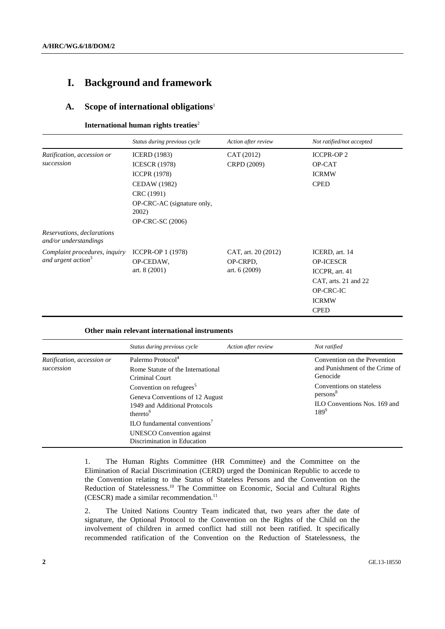# **I. Background and framework**

#### **A. Scope of international obligations**<sup>1</sup>

#### **International human rights treaties**<sup>2</sup>

|                                                                 | Status during previous cycle                                                                                                                                              | Action after review                               | Not ratified/not accepted                                                                                                |
|-----------------------------------------------------------------|---------------------------------------------------------------------------------------------------------------------------------------------------------------------------|---------------------------------------------------|--------------------------------------------------------------------------------------------------------------------------|
| Ratification, accession or<br>succession                        | <b>ICERD</b> (1983)<br><b>ICESCR</b> (1978)<br><b>ICCPR</b> (1978)<br><b>CEDAW</b> (1982)<br>CRC (1991)<br>OP-CRC-AC (signature only,<br>2002)<br><b>OP-CRC-SC</b> (2006) | CAT (2012)<br>CRPD (2009)                         | <b>ICCPR-OP2</b><br>OP-CAT<br><b>ICRMW</b><br><b>CPED</b>                                                                |
| Reservations, declarations<br>and/or understandings             |                                                                                                                                                                           |                                                   |                                                                                                                          |
| Complaint procedures, inquiry<br>and urgent action <sup>3</sup> | ICCPR-OP 1 (1978)<br>OP-CEDAW,<br>art. $8(2001)$                                                                                                                          | CAT, art. 20 (2012)<br>OP-CRPD,<br>art. $6(2009)$ | ICERD, art. 14<br><b>OP-ICESCR</b><br>ICCPR, art. 41<br>CAT, arts. 21 and 22<br>OP-CRC-IC<br><b>ICRMW</b><br><b>CPED</b> |

#### **Other main relevant international instruments**

|                                          | Status during previous cycle                                                                                                    | Action after review | Not ratified                                                                                |
|------------------------------------------|---------------------------------------------------------------------------------------------------------------------------------|---------------------|---------------------------------------------------------------------------------------------|
| Ratification, accession or<br>succession | Palermo Protocol <sup>4</sup><br>Rome Statute of the International<br>Criminal Court                                            |                     | Convention on the Prevention<br>and Punishment of the Crime of<br>Genocide                  |
|                                          | Convention on refugees <sup>5</sup><br>Geneva Conventions of 12 August<br>1949 and Additional Protocols<br>thereto <sup>6</sup> |                     | Conventions on stateless<br>persons <sup>8</sup><br>ILO Conventions Nos. 169 and<br>$189^9$ |
|                                          | ILO fundamental conventions <sup>7</sup><br><b>UNESCO</b> Convention against<br>Discrimination in Education                     |                     |                                                                                             |

1. The Human Rights Committee (HR Committee) and the Committee on the Elimination of Racial Discrimination (CERD) urged the Dominican Republic to accede to the Convention relating to the Status of Stateless Persons and the Convention on the Reduction of Statelessness.<sup>10</sup> The Committee on Economic, Social and Cultural Rights  $(CESCR)$  made a similar recommendation.<sup>11</sup>

2. The United Nations Country Team indicated that, two years after the date of signature, the Optional Protocol to the Convention on the Rights of the Child on the involvement of children in armed conflict had still not been ratified. It specifically recommended ratification of the Convention on the Reduction of Statelessness, the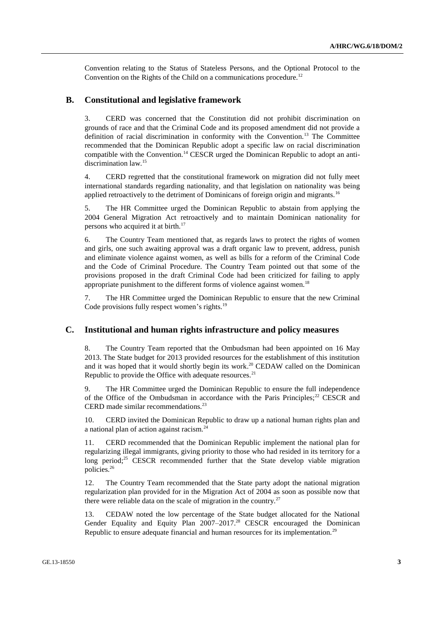Convention relating to the Status of Stateless Persons, and the Optional Protocol to the Convention on the Rights of the Child on a communications procedure.<sup>12</sup>

### **B. Constitutional and legislative framework**

3. CERD was concerned that the Constitution did not prohibit discrimination on grounds of race and that the Criminal Code and its proposed amendment did not provide a definition of racial discrimination in conformity with the Convention.<sup>13</sup> The Committee recommended that the Dominican Republic adopt a specific law on racial discrimination compatible with the Convention.<sup>14</sup> CESCR urged the Dominican Republic to adopt an antidiscrimination law.<sup>15</sup>

4. CERD regretted that the constitutional framework on migration did not fully meet international standards regarding nationality, and that legislation on nationality was being applied retroactively to the detriment of Dominicans of foreign origin and migrants.<sup>16</sup>

5. The HR Committee urged the Dominican Republic to abstain from applying the 2004 General Migration Act retroactively and to maintain Dominican nationality for persons who acquired it at birth.<sup>17</sup>

6. The Country Team mentioned that, as regards laws to protect the rights of women and girls, one such awaiting approval was a draft organic law to prevent, address, punish and eliminate violence against women, as well as bills for a reform of the Criminal Code and the Code of Criminal Procedure. The Country Team pointed out that some of the provisions proposed in the draft Criminal Code had been criticized for failing to apply appropriate punishment to the different forms of violence against women.<sup>18</sup>

7. The HR Committee urged the Dominican Republic to ensure that the new Criminal Code provisions fully respect women's rights.<sup>19</sup>

#### **C. Institutional and human rights infrastructure and policy measures**

8. The Country Team reported that the Ombudsman had been appointed on 16 May 2013. The State budget for 2013 provided resources for the establishment of this institution and it was hoped that it would shortly begin its work. <sup>20</sup> CEDAW called on the Dominican Republic to provide the Office with adequate resources.<sup>21</sup>

9. The HR Committee urged the Dominican Republic to ensure the full independence of the Office of the Ombudsman in accordance with the Paris Principles;<sup>22</sup> CESCR and CERD made similar recommendations.<sup>23</sup>

10. CERD invited the Dominican Republic to draw up a national human rights plan and a national plan of action against racism.<sup>24</sup>

11. CERD recommended that the Dominican Republic implement the national plan for regularizing illegal immigrants, giving priority to those who had resided in its territory for a long period;<sup>25</sup> CESCR recommended further that the State develop viable migration policies.<sup>26</sup>

12. The Country Team recommended that the State party adopt the national migration regularization plan provided for in the Migration Act of 2004 as soon as possible now that there were reliable data on the scale of migration in the country. $27$ 

13. CEDAW noted the low percentage of the State budget allocated for the National Gender Equality and Equity Plan 2007–2017.<sup>28</sup> CESCR encouraged the Dominican Republic to ensure adequate financial and human resources for its implementation.<sup>29</sup>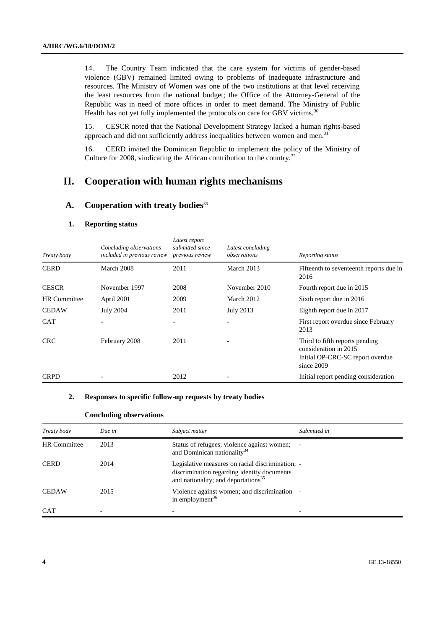14. The Country Team indicated that the care system for victims of gender-based violence (GBV) remained limited owing to problems of inadequate infrastructure and resources. The Ministry of Women was one of the two institutions at that level receiving the least resources from the national budget; the Office of the Attorney-General of the Republic was in need of more offices in order to meet demand. The Ministry of Public Health has not yet fully implemented the protocols on care for GBV victims.<sup>30</sup>

15. CESCR noted that the National Development Strategy lacked a human rights-based approach and did not sufficiently address inequalities between women and men.<sup>31</sup>

16. CERD invited the Dominican Republic to implement the policy of the Ministry of Culture for 2008, vindicating the African contribution to the country.<sup>32</sup>

# **II. Cooperation with human rights mechanisms**

#### **A. Cooperation with treaty bodies**<sup>33</sup>

| Treaty body         | Concluding observations<br>included in previous review | Latest report<br>submitted since<br>previous review | Latest concluding<br>observations | Reporting status                                                                                          |
|---------------------|--------------------------------------------------------|-----------------------------------------------------|-----------------------------------|-----------------------------------------------------------------------------------------------------------|
| <b>CERD</b>         | March 2008                                             | 2011                                                | March 2013                        | Fifteenth to seventeenth reports due in<br>2016                                                           |
| <b>CESCR</b>        | November 1997                                          | 2008                                                | November 2010                     | Fourth report due in 2015                                                                                 |
| <b>HR</b> Committee | April 2001                                             | 2009                                                | March 2012                        | Sixth report due in 2016                                                                                  |
| <b>CEDAW</b>        | <b>July 2004</b>                                       | 2011                                                | July 2013                         | Eighth report due in 2017                                                                                 |
| <b>CAT</b>          |                                                        | $\overline{\phantom{a}}$                            |                                   | First report overdue since February<br>2013                                                               |
| <b>CRC</b>          | February 2008                                          | 2011                                                |                                   | Third to fifth reports pending<br>consideration in 2015<br>Initial OP-CRC-SC report overdue<br>since 2009 |
| <b>CRPD</b>         |                                                        | 2012                                                |                                   | Initial report pending consideration                                                                      |

#### **1. Reporting status**

# **2. Responses to specific follow-up requests by treaty bodies**

#### **Concluding observations**

| Treaty body         | Due in | Subject matter                                                                                                                                     | Submitted in |
|---------------------|--------|----------------------------------------------------------------------------------------------------------------------------------------------------|--------------|
| <b>HR</b> Committee | 2013   | Status of refugees; violence against women;<br>and Dominican nationality <sup>34</sup>                                                             |              |
| <b>CERD</b>         | 2014   | Legislative measures on racial discrimination; -<br>discrimination regarding identity documents<br>and nationality; and deportations <sup>35</sup> |              |
| <b>CEDAW</b>        | 2015   | Violence against women; and discrimination<br>in employment <sup>36</sup>                                                                          |              |
| <b>CAT</b>          | -      |                                                                                                                                                    | ۰            |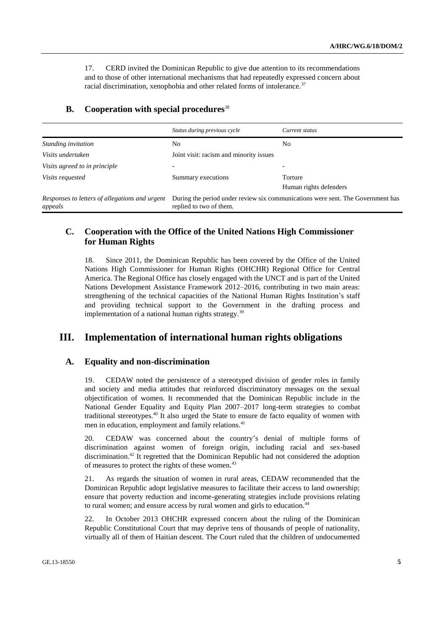17. CERD invited the Dominican Republic to give due attention to its recommendations and to those of other international mechanisms that had repeatedly expressed concern about racial discrimination, xenophobia and other related forms of intolerance.<sup>37</sup>

|                                                           | Status during previous cycle                                                                               | Current status         |
|-----------------------------------------------------------|------------------------------------------------------------------------------------------------------------|------------------------|
| Standing invitation                                       | No                                                                                                         | N <sub>0</sub>         |
| Visits undertaken                                         | Joint visit: racism and minority issues                                                                    |                        |
| Visits agreed to in principle                             |                                                                                                            |                        |
| <i>Visits requested</i>                                   | Summary executions                                                                                         | Torture                |
|                                                           |                                                                                                            | Human rights defenders |
| Responses to letters of allegations and urgent<br>appeals | During the period under review six communications were sent. The Government has<br>replied to two of them. |                        |

### **B. Cooperation with special procedures**<sup>38</sup>

# **C. Cooperation with the Office of the United Nations High Commissioner for Human Rights**

18. Since 2011, the Dominican Republic has been covered by the Office of the United Nations High Commissioner for Human Rights (OHCHR) Regional Office for Central America. The Regional Office has closely engaged with the UNCT and is part of the United Nations Development Assistance Framework 2012–2016, contributing in two main areas: strengthening of the technical capacities of the National Human Rights Institution's staff and providing technical support to the Government in the drafting process and implementation of a national human rights strategy.<sup>39</sup>

# **III. Implementation of international human rights obligations**

# **A. Equality and non-discrimination**

19. CEDAW noted the persistence of a stereotyped division of gender roles in family and society and media attitudes that reinforced discriminatory messages on the sexual objectification of women. It recommended that the Dominican Republic include in the National Gender Equality and Equity Plan 2007–2017 long-term strategies to combat traditional stereotypes.<sup>40</sup> It also urged the State to ensure de facto equality of women with men in education, employment and family relations.<sup>41</sup>

20. CEDAW was concerned about the country's denial of multiple forms of discrimination against women of foreign origin, including racial and sex-based discrimination.<sup>42</sup> It regretted that the Dominican Republic had not considered the adoption of measures to protect the rights of these women.<sup>43</sup>

21. As regards the situation of women in rural areas, CEDAW recommended that the Dominican Republic adopt legislative measures to facilitate their access to land ownership; ensure that poverty reduction and income-generating strategies include provisions relating to rural women; and ensure access by rural women and girls to education.<sup>44</sup>

22. In October 2013 OHCHR expressed concern about the ruling of the Dominican Republic Constitutional Court that may deprive tens of thousands of people of nationality, virtually all of them of Haitian descent. The Court ruled that the children of undocumented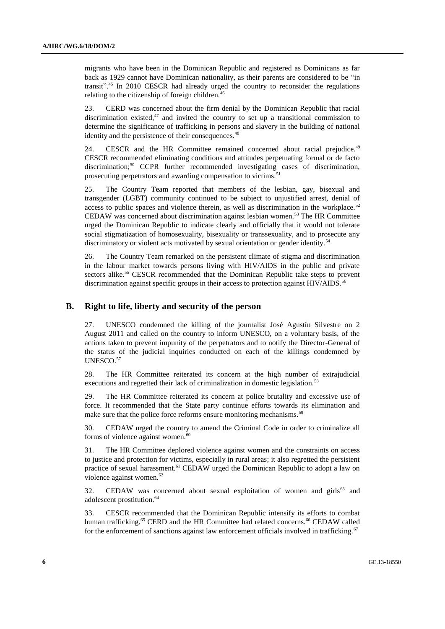migrants who have been in the Dominican Republic and registered as Dominicans as far back as 1929 cannot have Dominican nationality, as their parents are considered to be "in transit". <sup>45</sup> In 2010 CESCR had already urged the country to reconsider the regulations relating to the citizenship of foreign children.<sup>46</sup>

23. CERD was concerned about the firm denial by the Dominican Republic that racial discrimination existed, $47$  and invited the country to set up a transitional commission to determine the significance of trafficking in persons and slavery in the building of national identity and the persistence of their consequences.<sup>48</sup>

24. CESCR and the HR Committee remained concerned about racial prejudice.<sup>49</sup> CESCR recommended eliminating conditions and attitudes perpetuating formal or de facto discrimination;<sup>50</sup> CCPR further recommended investigating cases of discrimination, prosecuting perpetrators and awarding compensation to victims.<sup>5</sup>

25. The Country Team reported that members of the lesbian, gay, bisexual and transgender (LGBT) community continued to be subject to unjustified arrest, denial of access to public spaces and violence therein, as well as discrimination in the workplace.<sup>52</sup> CEDAW was concerned about discrimination against lesbian women.<sup>53</sup> The HR Committee urged the Dominican Republic to indicate clearly and officially that it would not tolerate social stigmatization of homosexuality, bisexuality or transsexuality, and to prosecute any discriminatory or violent acts motivated by sexual orientation or gender identity.<sup>54</sup>

26. The Country Team remarked on the persistent climate of stigma and discrimination in the labour market towards persons living with HIV/AIDS in the public and private sectors alike.<sup>55</sup> CESCR recommended that the Dominican Republic take steps to prevent discrimination against specific groups in their access to protection against HIV/AIDS.<sup>56</sup>

# **B. Right to life, liberty and security of the person**

27. UNESCO condemned the killing of the journalist José Agustín Silvestre on 2 August 2011 and called on the country to inform UNESCO, on a voluntary basis, of the actions taken to prevent impunity of the perpetrators and to notify the Director-General of the status of the judicial inquiries conducted on each of the killings condemned by UNESCO.<sup>57</sup>

28. The HR Committee reiterated its concern at the high number of extrajudicial executions and regretted their lack of criminalization in domestic legislation.<sup>58</sup>

29. The HR Committee reiterated its concern at police brutality and excessive use of force. It recommended that the State party continue efforts towards its elimination and make sure that the police force reforms ensure monitoring mechanisms.<sup>59</sup>

30. CEDAW urged the country to amend the Criminal Code in order to criminalize all forms of violence against women.<sup>60</sup>

31. The HR Committee deplored violence against women and the constraints on access to justice and protection for victims, especially in rural areas; it also regretted the persistent practice of sexual harassment.<sup>61</sup> CEDAW urged the Dominican Republic to adopt a law on violence against women.<sup>62</sup>

32. CEDAW was concerned about sexual exploitation of women and girls<sup>63</sup> and adolescent prostitution.<sup>64</sup>

33. CESCR recommended that the Dominican Republic intensify its efforts to combat human trafficking.<sup>65</sup> CERD and the HR Committee had related concerns.<sup>66</sup> CEDAW called for the enforcement of sanctions against law enforcement officials involved in trafficking.<sup>67</sup>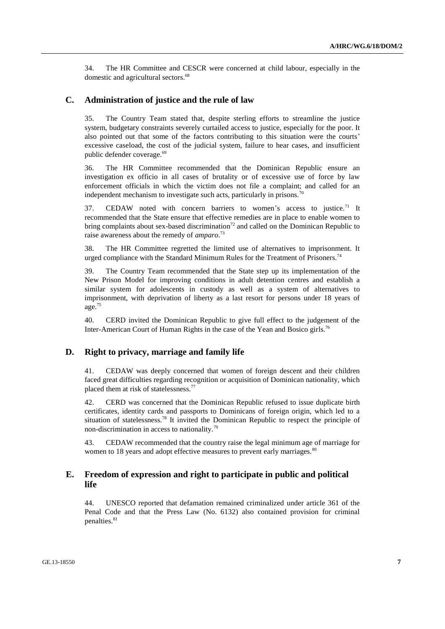34. The HR Committee and CESCR were concerned at child labour, especially in the domestic and agricultural sectors.<sup>68</sup>

## **C. Administration of justice and the rule of law**

35. The Country Team stated that, despite sterling efforts to streamline the justice system, budgetary constraints severely curtailed access to justice, especially for the poor. It also pointed out that some of the factors contributing to this situation were the courts' excessive caseload, the cost of the judicial system, failure to hear cases, and insufficient public defender coverage.<sup>69</sup>

36. The HR Committee recommended that the Dominican Republic ensure an investigation ex officio in all cases of brutality or of excessive use of force by law enforcement officials in which the victim does not file a complaint; and called for an independent mechanism to investigate such acts, particularly in prisons.<sup>70</sup>

37. CEDAW noted with concern barriers to women's access to justice.<sup>71</sup> It recommended that the State ensure that effective remedies are in place to enable women to bring complaints about sex-based discrimination<sup>72</sup> and called on the Dominican Republic to raise awareness about the remedy of *amparo*. 73

38. The HR Committee regretted the limited use of alternatives to imprisonment. It urged compliance with the Standard Minimum Rules for the Treatment of Prisoners.<sup>74</sup>

39. The Country Team recommended that the State step up its implementation of the New Prison Model for improving conditions in adult detention centres and establish a similar system for adolescents in custody as well as a system of alternatives to imprisonment, with deprivation of liberty as a last resort for persons under 18 years of age.<sup>75</sup>

40. CERD invited the Dominican Republic to give full effect to the judgement of the Inter-American Court of Human Rights in the case of the Yean and Bosico girls.<sup>76</sup>

## **D. Right to privacy, marriage and family life**

41. CEDAW was deeply concerned that women of foreign descent and their children faced great difficulties regarding recognition or acquisition of Dominican nationality, which placed them at risk of statelessness.<sup>77</sup>

42. CERD was concerned that the Dominican Republic refused to issue duplicate birth certificates, identity cards and passports to Dominicans of foreign origin, which led to a situation of statelessness.<sup>78</sup> It invited the Dominican Republic to respect the principle of non-discrimination in access to nationality.<sup>79</sup>

43. CEDAW recommended that the country raise the legal minimum age of marriage for women to 18 years and adopt effective measures to prevent early marriages.<sup>80</sup>

# **E. Freedom of expression and right to participate in public and political life**

44. UNESCO reported that defamation remained criminalized under article 361 of the Penal Code and that the Press Law (No. 6132) also contained provision for criminal penalties.<sup>81</sup>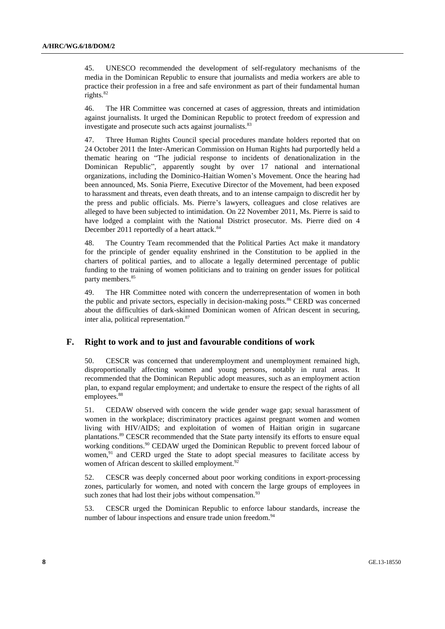45. UNESCO recommended the development of self-regulatory mechanisms of the media in the Dominican Republic to ensure that journalists and media workers are able to practice their profession in a free and safe environment as part of their fundamental human rights.<sup>82</sup>

46. The HR Committee was concerned at cases of aggression, threats and intimidation against journalists. It urged the Dominican Republic to protect freedom of expression and investigate and prosecute such acts against journalists.<sup>83</sup>

47. Three Human Rights Council special procedures mandate holders reported that on 24 October 2011 the Inter-American Commission on Human Rights had purportedly held a thematic hearing on "The judicial response to incidents of denationalization in the Dominican Republic", apparently sought by over 17 national and international organizations, including the Dominico-Haitian Women's Movement. Once the hearing had been announced, Ms. Sonia Pierre, Executive Director of the Movement, had been exposed to harassment and threats, even death threats, and to an intense campaign to discredit her by the press and public officials. Ms. Pierre's lawyers, colleagues and close relatives are alleged to have been subjected to intimidation. On 22 November 2011, Ms. Pierre is said to have lodged a complaint with the National District prosecutor. Ms. Pierre died on 4 December 2011 reportedly of a heart attack.<sup>84</sup>

48. The Country Team recommended that the Political Parties Act make it mandatory for the principle of gender equality enshrined in the Constitution to be applied in the charters of political parties, and to allocate a legally determined percentage of public funding to the training of women politicians and to training on gender issues for political party members.<sup>85</sup>

49. The HR Committee noted with concern the underrepresentation of women in both the public and private sectors, especially in decision-making posts.<sup>86</sup> CERD was concerned about the difficulties of dark-skinned Dominican women of African descent in securing, inter alia, political representation.<sup>87</sup>

## **F. Right to work and to just and favourable conditions of work**

50. CESCR was concerned that underemployment and unemployment remained high, disproportionally affecting women and young persons, notably in rural areas. It recommended that the Dominican Republic adopt measures, such as an employment action plan, to expand regular employment; and undertake to ensure the respect of the rights of all employees.<sup>88</sup>

51. CEDAW observed with concern the wide gender wage gap; sexual harassment of women in the workplace; discriminatory practices against pregnant women and women living with HIV/AIDS; and exploitation of women of Haitian origin in sugarcane plantations.<sup>89</sup> CESCR recommended that the State party intensify its efforts to ensure equal working conditions.<sup>90</sup> CEDAW urged the Dominican Republic to prevent forced labour of women, $91$  and CERD urged the State to adopt special measures to facilitate access by women of African descent to skilled employment.<sup>92</sup>

52. CESCR was deeply concerned about poor working conditions in export-processing zones, particularly for women, and noted with concern the large groups of employees in such zones that had lost their jobs without compensation.<sup>93</sup>

53. CESCR urged the Dominican Republic to enforce labour standards, increase the number of labour inspections and ensure trade union freedom.<sup>94</sup>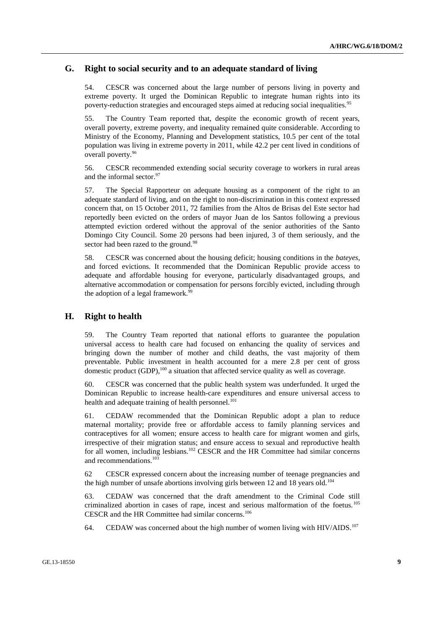### **G. Right to social security and to an adequate standard of living**

54. CESCR was concerned about the large number of persons living in poverty and extreme poverty. It urged the Dominican Republic to integrate human rights into its poverty-reduction strategies and encouraged steps aimed at reducing social inequalities.<sup>95</sup>

55. The Country Team reported that, despite the economic growth of recent years, overall poverty, extreme poverty, and inequality remained quite considerable. According to Ministry of the Economy, Planning and Development statistics, 10.5 per cent of the total population was living in extreme poverty in 2011, while 42.2 per cent lived in conditions of overall poverty.<sup>96</sup>

56. CESCR recommended extending social security coverage to workers in rural areas and the informal sector.<sup>97</sup>

57. The Special Rapporteur on adequate housing as a component of the right to an adequate standard of living, and on the right to non-discrimination in this context expressed concern that, on 15 October 2011, 72 families from the Altos de Brisas del Este sector had reportedly been evicted on the orders of mayor Juan de los Santos following a previous attempted eviction ordered without the approval of the senior authorities of the Santo Domingo City Council. Some 20 persons had been injured, 3 of them seriously, and the sector had been razed to the ground.<sup>98</sup>

58. CESCR was concerned about the housing deficit; housing conditions in the *bateyes*, and forced evictions. It recommended that the Dominican Republic provide access to adequate and affordable housing for everyone, particularly disadvantaged groups, and alternative accommodation or compensation for persons forcibly evicted, including through the adoption of a legal framework.<sup>99</sup>

#### **H. Right to health**

59. The Country Team reported that national efforts to guarantee the population universal access to health care had focused on enhancing the quality of services and bringing down the number of mother and child deaths, the vast majority of them preventable. Public investment in health accounted for a mere 2.8 per cent of gross domestic product  $(GDP)$ ,<sup>100</sup> a situation that affected service quality as well as coverage.

60. CESCR was concerned that the public health system was underfunded. It urged the Dominican Republic to increase health-care expenditures and ensure universal access to health and adequate training of health personnel.<sup>101</sup>

61. CEDAW recommended that the Dominican Republic adopt a plan to reduce maternal mortality; provide free or affordable access to family planning services and contraceptives for all women; ensure access to health care for migrant women and girls, irrespective of their migration status; and ensure access to sexual and reproductive health for all women, including lesbians.<sup>102</sup> CESCR and the HR Committee had similar concerns and recommendations.<sup>103</sup>

62 CESCR expressed concern about the increasing number of teenage pregnancies and the high number of unsafe abortions involving girls between 12 and 18 years old.<sup>104</sup>

63. CEDAW was concerned that the draft amendment to the Criminal Code still criminalized abortion in cases of rape, incest and serious malformation of the foetus.<sup>105</sup> CESCR and the HR Committee had similar concerns.<sup>106</sup>

64. CEDAW was concerned about the high number of women living with HIV/AIDS.<sup>107</sup>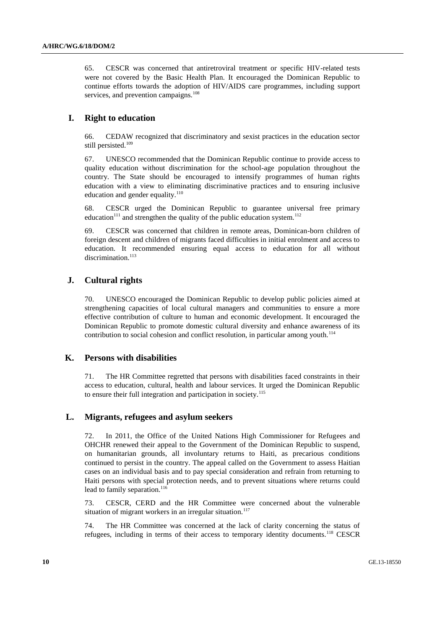65. CESCR was concerned that antiretroviral treatment or specific HIV-related tests were not covered by the Basic Health Plan. It encouraged the Dominican Republic to continue efforts towards the adoption of HIV/AIDS care programmes, including support services, and prevention campaigns.<sup>108</sup>

# **I. Right to education**

66. CEDAW recognized that discriminatory and sexist practices in the education sector still persisted.<sup>109</sup>

67. UNESCO recommended that the Dominican Republic continue to provide access to quality education without discrimination for the school-age population throughout the country. The State should be encouraged to intensify programmes of human rights education with a view to eliminating discriminative practices and to ensuring inclusive education and gender equality.<sup>110</sup>

68. CESCR urged the Dominican Republic to guarantee universal free primary education<sup>111</sup> and strengthen the quality of the public education system.<sup>112</sup>

69. CESCR was concerned that children in remote areas, Dominican-born children of foreign descent and children of migrants faced difficulties in initial enrolment and access to education. It recommended ensuring equal access to education for all without discrimination.<sup>113</sup>

### **J. Cultural rights**

70. UNESCO encouraged the Dominican Republic to develop public policies aimed at strengthening capacities of local cultural managers and communities to ensure a more effective contribution of culture to human and economic development. It encouraged the Dominican Republic to promote domestic cultural diversity and enhance awareness of its contribution to social cohesion and conflict resolution, in particular among youth.<sup>114</sup>

# **K. Persons with disabilities**

71. The HR Committee regretted that persons with disabilities faced constraints in their access to education, cultural, health and labour services. It urged the Dominican Republic to ensure their full integration and participation in society.<sup>115</sup>

#### **L. Migrants, refugees and asylum seekers**

72. In 2011, the Office of the United Nations High Commissioner for Refugees and OHCHR renewed their appeal to the Government of the Dominican Republic to suspend, on humanitarian grounds, all involuntary returns to Haiti, as precarious conditions continued to persist in the country. The appeal called on the Government to assess Haitian cases on an individual basis and to pay special consideration and refrain from returning to Haiti persons with special protection needs, and to prevent situations where returns could lead to family separation.<sup>116</sup>

73. CESCR, CERD and the HR Committee were concerned about the vulnerable situation of migrant workers in an irregular situation.<sup>117</sup>

74. The HR Committee was concerned at the lack of clarity concerning the status of refugees, including in terms of their access to temporary identity documents.<sup>118</sup> CESCR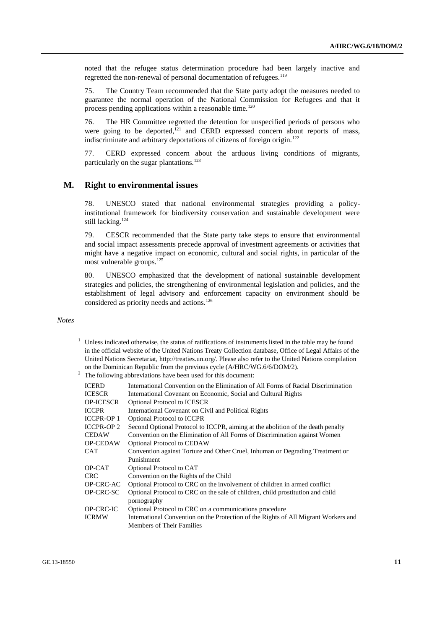noted that the refugee status determination procedure had been largely inactive and regretted the non-renewal of personal documentation of refugees.<sup>119</sup>

75. The Country Team recommended that the State party adopt the measures needed to guarantee the normal operation of the National Commission for Refugees and that it process pending applications within a reasonable time.<sup>120</sup>

76. The HR Committee regretted the detention for unspecified periods of persons who were going to be deported, $1/21$  and CERD expressed concern about reports of mass, indiscriminate and arbitrary deportations of citizens of foreign origin.<sup>122</sup>

77. CERD expressed concern about the arduous living conditions of migrants, particularly on the sugar plantations.<sup>123</sup>

#### **M. Right to environmental issues**

78. UNESCO stated that national environmental strategies providing a policyinstitutional framework for biodiversity conservation and sustainable development were still lacking.<sup>124</sup>

79. CESCR recommended that the State party take steps to ensure that environmental and social impact assessments precede approval of investment agreements or activities that might have a negative impact on economic, cultural and social rights, in particular of the most vulnerable groups. $^{125}$ 

80. UNESCO emphasized that the development of national sustainable development strategies and policies, the strengthening of environmental legislation and policies, and the establishment of legal advisory and enforcement capacity on environment should be considered as priority needs and actions.<sup>126</sup>

#### *Notes*

 $1$  Unless indicated otherwise, the status of ratifications of instruments listed in the table may be found in the official website of the United Nations Treaty Collection database, Office of Legal Affairs of the United Nations Secretariat, [http://treaties.un.org/.](http://treaties.un.org/) Please also refer to the United Nations compilation on the Dominican Republic from the previous cycle (A/HRC/WG.6/6/DOM/2).

| ICERD             | International Convention on the Elimination of All Forms of Racial Discrimination   |
|-------------------|-------------------------------------------------------------------------------------|
| ICESCR            | International Covenant on Economic, Social and Cultural Rights                      |
| <b>OP-ICESCR</b>  | <b>Optional Protocol to ICESCR</b>                                                  |
| <b>ICCPR</b>      | International Covenant on Civil and Political Rights                                |
| <b>ICCPR-OP 1</b> | <b>Optional Protocol to ICCPR</b>                                                   |
| <b>ICCPR-OP 2</b> | Second Optional Protocol to ICCPR, aiming at the abolition of the death penalty     |
| <b>CEDAW</b>      | Convention on the Elimination of All Forms of Discrimination against Women          |
| <b>OP-CEDAW</b>   | <b>Optional Protocol to CEDAW</b>                                                   |
| CAT               | Convention against Torture and Other Cruel, Inhuman or Degrading Treatment or       |
|                   | Punishment                                                                          |
| OP-CAT            | Optional Protocol to CAT                                                            |
| CRC               | Convention on the Rights of the Child                                               |
| OP-CRC-AC         | Optional Protocol to CRC on the involvement of children in armed conflict           |
| OP-CRC-SC         | Optional Protocol to CRC on the sale of children, child prostitution and child      |
|                   | pornography                                                                         |
| OP-CRC-IC         | Optional Protocol to CRC on a communications procedure                              |
| ICRMW             | International Convention on the Protection of the Rights of All Migrant Workers and |
|                   | Members of Their Families                                                           |

<sup>&</sup>lt;sup>2</sup> The following abbreviations have been used for this document: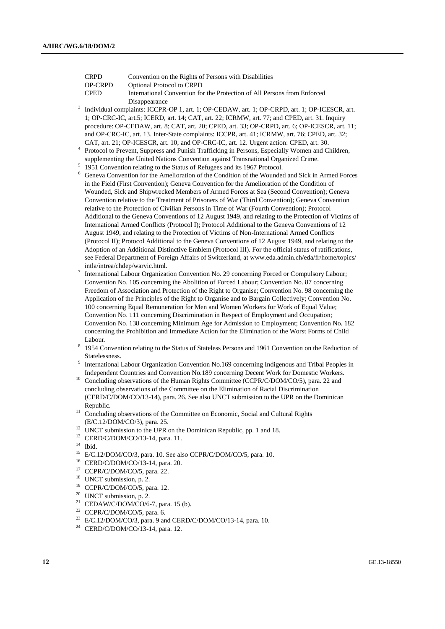OP-CRPD Optional Protocol to CRPD

International Convention for the Protection of All Persons from Enforced Disappearance

- 3 Individual complaints: ICCPR-OP 1, art. 1; OP-CEDAW, art. 1; OP-CRPD, art. 1; OP-ICESCR, art. 1; OP-CRC-IC, art.5; ICERD, art. 14; CAT, art. 22; ICRMW, art. 77; and CPED, art. 31. Inquiry procedure: OP-CEDAW, art. 8; CAT, art. 20; CPED, art. 33; OP-CRPD, art. 6; OP-ICESCR, art. 11; and OP-CRC-IC, art. 13. Inter-State complaints: ICCPR, art. 41; ICRMW, art. 76; CPED, art. 32; CAT, art. 21; OP-ICESCR, art. 10; and OP-CRC-IC, art. 12. Urgent action: CPED, art. 30.
- <sup>4</sup> Protocol to Prevent, Suppress and Punish Trafficking in Persons, Especially Women and Children, supplementing the United Nations Convention against Transnational Organized Crime.
- <sup>5</sup> 1951 Convention relating to the Status of Refugees and its 1967 Protocol.
- <sup>6</sup> Geneva Convention for the Amelioration of the Condition of the Wounded and Sick in Armed Forces in the Field (First Convention); Geneva Convention for the Amelioration of the Condition of Wounded, Sick and Shipwrecked Members of Armed Forces at Sea (Second Convention); Geneva Convention relative to the Treatment of Prisoners of War (Third Convention); Geneva Convention relative to the Protection of Civilian Persons in Time of War (Fourth Convention); Protocol Additional to the Geneva Conventions of 12 August 1949, and relating to the Protection of Victims of International Armed Conflicts (Protocol I); Protocol Additional to the Geneva Conventions of 12 August 1949, and relating to the Protection of Victims of Non-International Armed Conflicts (Protocol II); Protocol Additional to the Geneva Conventions of 12 August 1949, and relating to the Adoption of an Additional Distinctive Emblem (Protocol III). For the official status of ratifications, see Federal Department of Foreign Affairs of Switzerland, at www.eda.admin.ch/eda/fr/home/topics/ intla/intrea/chdep/warvic.html.
- 7 International Labour Organization Convention No. 29 concerning Forced or Compulsory Labour; Convention No. 105 concerning the Abolition of Forced Labour; Convention No. 87 concerning Freedom of Association and Protection of the Right to Organise; Convention No. 98 concerning the Application of the Principles of the Right to Organise and to Bargain Collectively; Convention No. 100 concerning Equal Remuneration for Men and Women Workers for Work of Equal Value; Convention No. 111 concerning Discrimination in Respect of Employment and Occupation; Convention No. 138 concerning Minimum Age for Admission to Employment; Convention No. 182 concerning the Prohibition and Immediate Action for the Elimination of the Worst Forms of Child Labour.
- 8 1954 Convention relating to the Status of Stateless Persons and 1961 Convention on the Reduction of Statelessness.
- 9 International Labour Organization Convention No.169 concerning Indigenous and Tribal Peoples in Independent Countries and Convention No.189 concerning Decent Work for Domestic Workers.
- <sup>10</sup> Concluding observations of the Human Rights Committee (CCPR/C/DOM/CO/5), para. 22 and concluding observations of the Committee on the Elimination of Racial Discrimination (CERD/C/DOM/CO/13-14), para. 26. See also UNCT submission to the UPR on the Dominican Republic.
- <sup>11</sup> Concluding observations of the Committee on Economic, Social and Cultural Rights (E/C.12/DOM/CO/3), para. 25.
- <sup>12</sup> UNCT submission to the UPR on the Dominican Republic, pp. 1 and 18.
- <sup>13</sup> CERD/C/DOM/CO/13-14, para. 11.
- $14$  Ibid.
- <sup>15</sup> E/C.12/DOM/CO/3, para. 10. See also CCPR/C/DOM/CO/5, para. 10.<br><sup>16</sup> CEPD/C/DOM/CO/13 14, para. 20
- <sup>16</sup> CERD/C/DOM/CO/13-14, para. 20.<br><sup>17</sup> CCPP/C/DOM/CO/5, para. 22.
- CCPR/C/DOM/CO/5, para. 22.
- <sup>18</sup> UNCT submission, p. 2.<br><sup>19</sup> CCDP/C/DOM/CO/5 ps
- <sup>19</sup> CCPR/C/DOM/CO/5, para. 12.<br><sup>20</sup> IJMCT submission **p** 2
- UNCT submission,  $p. 2$ .
- <sup>21</sup> CEDAW/C/DOM/CO/6-7, para. 15 (b).
- <sup>22</sup> CCPR/C/DOM/CO/5, para. 6.
- <sup>23</sup> E/C.12/DOM/CO/3, para. 9 and CERD/C/DOM/CO/13-14, para. 10.
- <sup>24</sup> CERD/C/DOM/CO/13-14, para. 12.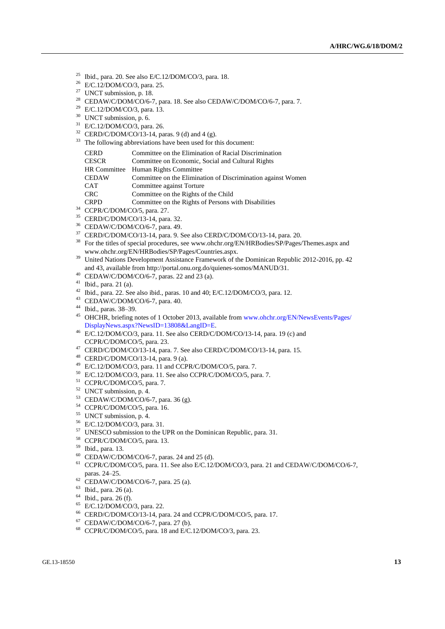- Ibid., para. 20. See also E/C.12/DOM/CO/3, para. 18.
- E/C.12/DOM/CO/3, para. 25.
- UNCT submission, p. 18.
- <sup>28</sup> CEDAW/C/DOM/CO/6-7, para. 18. See also CEDAW/C/DOM/CO/6-7, para. 7.
- <sup>29</sup> E/C.12/DOM/CO/3, para. 13.
- <sup>30</sup> UNCT submission, p. 6.
- E/C.12/DOM/CO/3, para. 26.
- CERD/C/DOM/CO/13-14, paras. 9 (d) and 4 (g).
- <sup>33</sup> The following abbreviations have been used for this document:

| <b>CERD</b>         | Committee on the Elimination of Racial Discrimination        |
|---------------------|--------------------------------------------------------------|
| <b>CESCR</b>        | Committee on Economic, Social and Cultural Rights            |
| <b>HR</b> Committee | Human Rights Committee                                       |
| <b>CEDAW</b>        | Committee on the Elimination of Discrimination against Women |
| <b>CAT</b>          | Committee against Torture                                    |
| <b>CRC</b>          | Committee on the Rights of the Child                         |
| <b>CRPD</b>         | Committee on the Rights of Persons with Disabilities         |

- CCPR/C/DOM/CO/5, para. 27.
- CERD/C/DOM/CO/13-14, para. 32.
- CEDAW/C/DOM/CO/6-7, para. 49.
- CERD/C/DOM/CO/13-14, para. 9. See also CERD/C/DOM/CO/13-14, para. 20.
- For the titles of special procedures, see www.ohchr.org/EN/HRBodies/SP/Pages/Themes.aspx and www.ohchr.org/EN/HRBodies/SP/Pages/Countries.aspx.
- <sup>39</sup> United Nations Development Assistance Framework of the Dominican Republic 2012-2016, pp. 42 and 43, available fro[m http://portal.onu.org.do/quienes-somos/MANUD/31.](http://portal.onu.org.do/quienes-somos/MANUD/31)
- CEDAW/C/DOM/CO/6-7, paras. 22 and 23 (a).
- Ibid., para. 21 (a).
- Ibid., para. 22. See also ibid., paras. 10 and 40; E/C.12/DOM/CO/3, para. 12.
- CEDAW/C/DOM/CO/6-7, para. 40.
- Ibid., paras. 38–39.
- <sup>45</sup> OHCHR, briefing notes of 1 October 2013, available from [www.ohchr.org/EN/NewsEvents/Pages/](http://www.ohchr.org/EN/NewsEvents/Pages/%0bDisplayNews.aspx?NewsID=13808&LangID=E) [DisplayNews.aspx?NewsID=13808&LangID=E.](http://www.ohchr.org/EN/NewsEvents/Pages/%0bDisplayNews.aspx?NewsID=13808&LangID=E)
- $^{46}$  E/C.12/DOM/CO/3, para. 11. See also CERD/C/DOM/CO/13-14, para. 19 (c) and CCPR/C/DOM/CO/5, para. 23.
- CERD/C/DOM/CO/13-14, para. 7. See also CERD/C/DOM/CO/13-14, para. 15.
- CERD/C/DOM/CO/13-14, para. 9 (a).
- E/C.12/DOM/CO/3, para. 11 and CCPR/C/DOM/CO/5, para. 7.
- E/C.12/DOM/CO/3, para. 11. See also CCPR/C/DOM/CO/5, para. 7.
- CCPR/C/DOM/CO/5, para. 7.
- UNCT submission, p. 4.
- CEDAW/C/DOM/CO/6-7, para. 36 (g).
- CCPR/C/DOM/CO/5, para. 16.
- UNCT submission, p. 4.
- E/C.12/DOM/CO/3, para. 31.
- UNESCO submission to the UPR on the Dominican Republic, para. 31.
- CCPR/C/DOM/CO/5, para. 13.
- Ibid., para. 13.
- CEDAW/C/DOM/CO/6-7, paras. 24 and 25 (d).
- CCPR/C/DOM/CO/5, para. 11. See also E/C.12/DOM/CO/3, para. 21 and CEDAW/C/DOM/CO/6-7, paras. 24–25.
- CEDAW/C/DOM/CO/6-7, para. 25 (a).
- Ibid., para. 26 (a).
- Ibid., para. 26 (f).
- E/C.12/DOM/CO/3, para. 22.
- CERD/C/DOM/CO/13-14, para. 24 and CCPR/C/DOM/CO/5, para. 17.
- CEDAW/C/DOM/CO/6-7, para. 27 (b).
- CCPR/C/DOM/CO/5, para. 18 and E/C.12/DOM/CO/3, para. 23.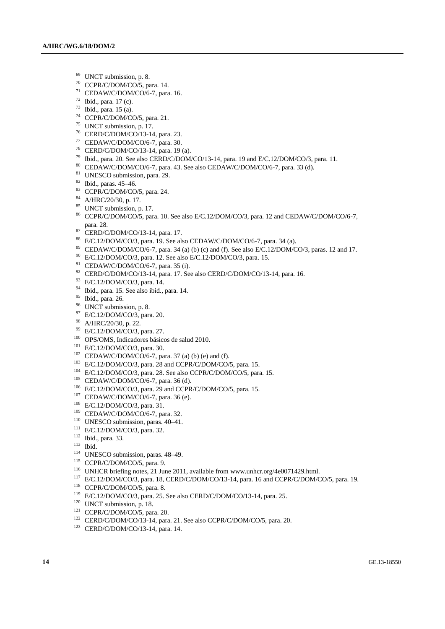- UNCT submission, p. 8.
- CCPR/C/DOM/CO/5, para. 14.
- CEDAW/C/DOM/CO/6-7, para. 16.
- Ibid., para. 17 (c).
- Ibid., para. 15 (a).
- CCPR/C/DOM/CO/5, para. 21.
- UNCT submission, p. 17.
- CERD/C/DOM/CO/13-14, para. 23.
- CEDAW/C/DOM/CO/6-7, para. 30.
- CERD/C/DOM/CO/13-14, para. 19 (a).
- Ibid., para. 20. See also CERD/C/DOM/CO/13-14, para. 19 and E/C.12/DOM/CO/3, para. 11.
- CEDAW/C/DOM/CO/6-7, para. 43. See also CEDAW/C/DOM/CO/6-7, para. 33 (d).
- <sup>81</sup> UNESCO submission, para. 29.
- Ibid., paras. 45–46.
- CCPR/C/DOM/CO/5, para. 24.
- A/HRC/20/30, p. 17.
- UNCT submission, p. 17.
- CCPR/C/DOM/CO/5, para. 10. See also E/C.12/DOM/CO/3, para. 12 and CEDAW/C/DOM/CO/6-7, para. 28.
- 87 CERD/C/DOM/CO/13-14, para. 17.
- E/C.12/DOM/CO/3, para. 19. See also CEDAW/C/DOM/CO/6-7, para. 34 (a).
- CEDAW/C/DOM/CO/6-7, para. 34 (a) (b) (c) and (f). See also E/C.12/DOM/CO/3, paras. 12 and 17.
- E/C.12/DOM/CO/3, para. 12. See also E/C.12/DOM/CO/3, para. 15.
- CEDAW/C/DOM/CO/6-7, para. 35 (i).
- CERD/C/DOM/CO/13-14, para. 17. See also CERD/C/DOM/CO/13-14, para. 16.
- E/C.12/DOM/CO/3, para. 14.
- Ibid., para. 15. See also ibid., para. 14.
- Ibid., para. 26.
- <sup>96</sup> UNCT submission, p. 8.
- E/C.12/DOM/CO/3, para. 20.
- A/HRC/20/30, p. 22.
- E/C.12/DOM/CO/3, para. 27.
- OPS/OMS, Indicadores básicos de salud 2010.
- E/C.12/DOM/CO/3, para. 30.
- CEDAW/C/DOM/CO/6-7, para. 37 (a) (b) (e) and (f).
- E/C.12/DOM/CO/3, para. 28 and CCPR/C/DOM/CO/5, para. 15.
- E/C.12/DOM/CO/3, para. 28. See also CCPR/C/DOM/CO/5, para. 15.
- CEDAW/C/DOM/CO/6-7, para. 36 (d).
- E/C.12/DOM/CO/3, para. 29 and CCPR/C/DOM/CO/5, para. 15.
- <sup>107</sup> CEDAW/C/DOM/CO/6-7, para. 36 (e).
- E/C.12/DOM/CO/3, para. 31.
- CEDAW/C/DOM/CO/6-7, para. 32.
- <sup>110</sup> UNESCO submission, paras. 40-41.
- E/C.12/DOM/CO/3, para. 32.
- Ibid., para. 33.
- Ibid.
- <sup>114</sup> UNESCO submission, paras. 48-49.
- CCPR/C/DOM/CO/5, para. 9.
- <sup>116</sup> UNHCR briefing notes, 21 June 2011, available from [www.unhcr.org/4e0071429.html.](http://www.unhcr.org/4e0071429.html)
- E/C.12/DOM/CO/3, para. 18, CERD/C/DOM/CO/13-14, para. 16 and CCPR/C/DOM/CO/5, para. 19.
- <sup>118</sup> CCPR/C/DOM/CO/5, para. 8.
- E/C.12/DOM/CO/3, para. 25. See also CERD/C/DOM/CO/13-14, para. 25.
- <sup>120</sup> UNCT submission, p. 18.
- CCPR/C/DOM/CO/5, para. 20.
- CERD/C/DOM/CO/13-14, para. 21. See also CCPR/C/DOM/CO/5, para. 20.
- CERD/C/DOM/CO/13-14, para. 14.